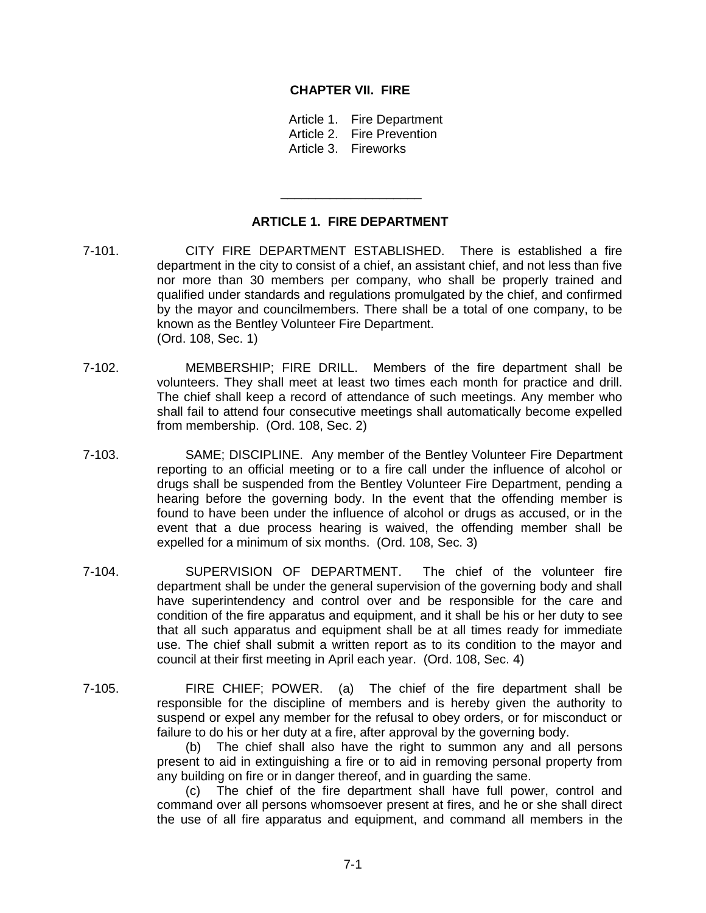## **CHAPTER VII. FIRE**

Article 1. Fire Department Article 2. Fire Prevention

Article 3. Fireworks

# **ARTICLE 1. FIRE DEPARTMENT**

\_\_\_\_\_\_\_\_\_\_\_\_\_\_\_\_\_\_\_\_

- 7-101. CITY FIRE DEPARTMENT ESTABLISHED. There is established a fire department in the city to consist of a chief, an assistant chief, and not less than five nor more than 30 members per company, who shall be properly trained and qualified under standards and regulations promulgated by the chief, and confirmed by the mayor and councilmembers. There shall be a total of one company, to be known as the Bentley Volunteer Fire Department. (Ord. 108, Sec. 1)
- 7-102. MEMBERSHIP; FIRE DRILL. Members of the fire department shall be volunteers. They shall meet at least two times each month for practice and drill. The chief shall keep a record of attendance of such meetings. Any member who shall fail to attend four consecutive meetings shall automatically become expelled from membership. (Ord. 108, Sec. 2)
- 7-103. SAME; DISCIPLINE. Any member of the Bentley Volunteer Fire Department reporting to an official meeting or to a fire call under the influence of alcohol or drugs shall be suspended from the Bentley Volunteer Fire Department, pending a hearing before the governing body. In the event that the offending member is found to have been under the influence of alcohol or drugs as accused, or in the event that a due process hearing is waived, the offending member shall be expelled for a minimum of six months. (Ord. 108, Sec. 3)
- 7-104. SUPERVISION OF DEPARTMENT. The chief of the volunteer fire department shall be under the general supervision of the governing body and shall have superintendency and control over and be responsible for the care and condition of the fire apparatus and equipment, and it shall be his or her duty to see that all such apparatus and equipment shall be at all times ready for immediate use. The chief shall submit a written report as to its condition to the mayor and council at their first meeting in April each year. (Ord. 108, Sec. 4)
- 7-105. FIRE CHIEF; POWER. (a) The chief of the fire department shall be responsible for the discipline of members and is hereby given the authority to suspend or expel any member for the refusal to obey orders, or for misconduct or failure to do his or her duty at a fire, after approval by the governing body.

(b) The chief shall also have the right to summon any and all persons present to aid in extinguishing a fire or to aid in removing personal property from any building on fire or in danger thereof, and in guarding the same.

(c) The chief of the fire department shall have full power, control and command over all persons whomsoever present at fires, and he or she shall direct the use of all fire apparatus and equipment, and command all members in the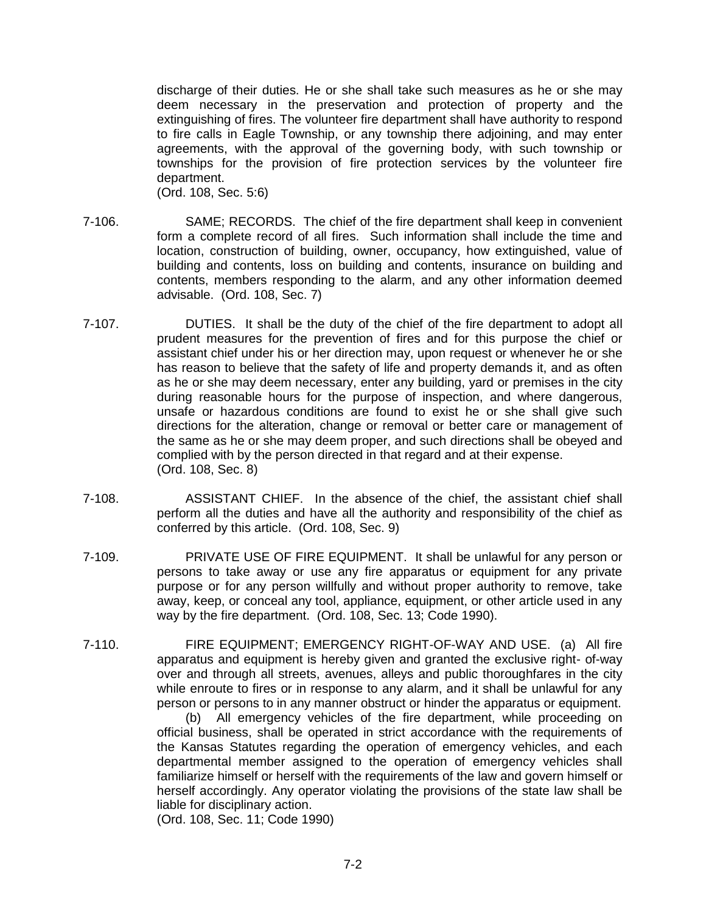discharge of their duties. He or she shall take such measures as he or she may deem necessary in the preservation and protection of property and the extinguishing of fires. The volunteer fire department shall have authority to respond to fire calls in Eagle Township, or any township there adjoining, and may enter agreements, with the approval of the governing body, with such township or townships for the provision of fire protection services by the volunteer fire department.

(Ord. 108, Sec. 5:6)

- 7-106. SAME; RECORDS. The chief of the fire department shall keep in convenient form a complete record of all fires. Such information shall include the time and location, construction of building, owner, occupancy, how extinguished, value of building and contents, loss on building and contents, insurance on building and contents, members responding to the alarm, and any other information deemed advisable. (Ord. 108, Sec. 7)
- 7-107. DUTIES. It shall be the duty of the chief of the fire department to adopt all prudent measures for the prevention of fires and for this purpose the chief or assistant chief under his or her direction may, upon request or whenever he or she has reason to believe that the safety of life and property demands it, and as often as he or she may deem necessary, enter any building, yard or premises in the city during reasonable hours for the purpose of inspection, and where dangerous, unsafe or hazardous conditions are found to exist he or she shall give such directions for the alteration, change or removal or better care or management of the same as he or she may deem proper, and such directions shall be obeyed and complied with by the person directed in that regard and at their expense. (Ord. 108, Sec. 8)
- 7-108. ASSISTANT CHIEF. In the absence of the chief, the assistant chief shall perform all the duties and have all the authority and responsibility of the chief as conferred by this article. (Ord. 108, Sec. 9)
- 7-109. PRIVATE USE OF FIRE EQUIPMENT. It shall be unlawful for any person or persons to take away or use any fire apparatus or equipment for any private purpose or for any person willfully and without proper authority to remove, take away, keep, or conceal any tool, appliance, equipment, or other article used in any way by the fire department. (Ord. 108, Sec. 13; Code 1990).
- 7-110. FIRE EQUIPMENT; EMERGENCY RIGHT-OF-WAY AND USE. (a) All fire apparatus and equipment is hereby given and granted the exclusive right- of-way over and through all streets, avenues, alleys and public thoroughfares in the city while enroute to fires or in response to any alarm, and it shall be unlawful for any person or persons to in any manner obstruct or hinder the apparatus or equipment.

(b) All emergency vehicles of the fire department, while proceeding on official business, shall be operated in strict accordance with the requirements of the Kansas Statutes regarding the operation of emergency vehicles, and each departmental member assigned to the operation of emergency vehicles shall familiarize himself or herself with the requirements of the law and govern himself or herself accordingly. Any operator violating the provisions of the state law shall be liable for disciplinary action.

(Ord. 108, Sec. 11; Code 1990)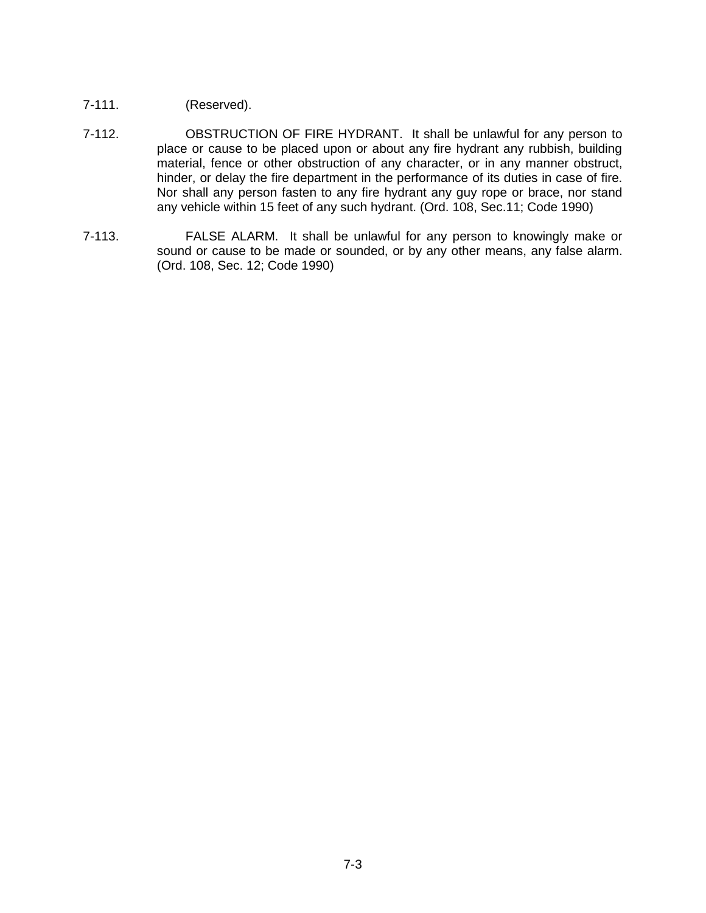- 7-111. (Reserved).
- 7-112. OBSTRUCTION OF FIRE HYDRANT. It shall be unlawful for any person to place or cause to be placed upon or about any fire hydrant any rubbish, building material, fence or other obstruction of any character, or in any manner obstruct, hinder, or delay the fire department in the performance of its duties in case of fire. Nor shall any person fasten to any fire hydrant any guy rope or brace, nor stand any vehicle within 15 feet of any such hydrant. (Ord. 108, Sec.11; Code 1990)
- 7-113. FALSE ALARM. It shall be unlawful for any person to knowingly make or sound or cause to be made or sounded, or by any other means, any false alarm. (Ord. 108, Sec. 12; Code 1990)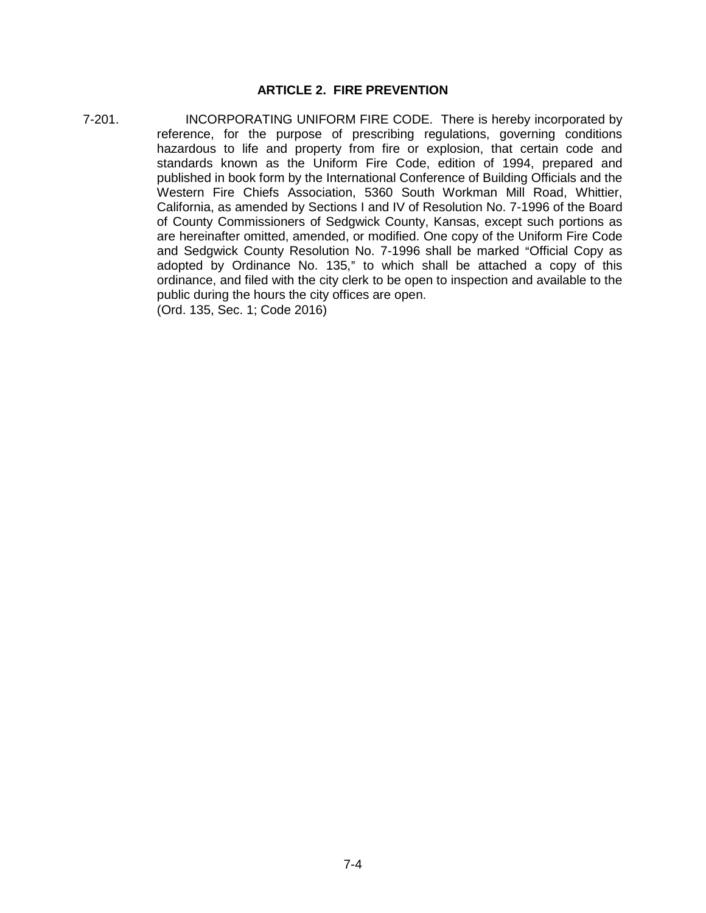# **ARTICLE 2. FIRE PREVENTION**

7-201. INCORPORATING UNIFORM FIRE CODE. There is hereby incorporated by reference, for the purpose of prescribing regulations, governing conditions hazardous to life and property from fire or explosion, that certain code and standards known as the Uniform Fire Code, edition of 1994, prepared and published in book form by the International Conference of Building Officials and the Western Fire Chiefs Association, 5360 South Workman Mill Road, Whittier, California, as amended by Sections I and IV of Resolution No. 7-1996 of the Board of County Commissioners of Sedgwick County, Kansas, except such portions as are hereinafter omitted, amended, or modified. One copy of the Uniform Fire Code and Sedgwick County Resolution No. 7-1996 shall be marked "Official Copy as adopted by Ordinance No. 135," to which shall be attached a copy of this ordinance, and filed with the city clerk to be open to inspection and available to the public during the hours the city offices are open.

(Ord. 135, Sec. 1; Code 2016)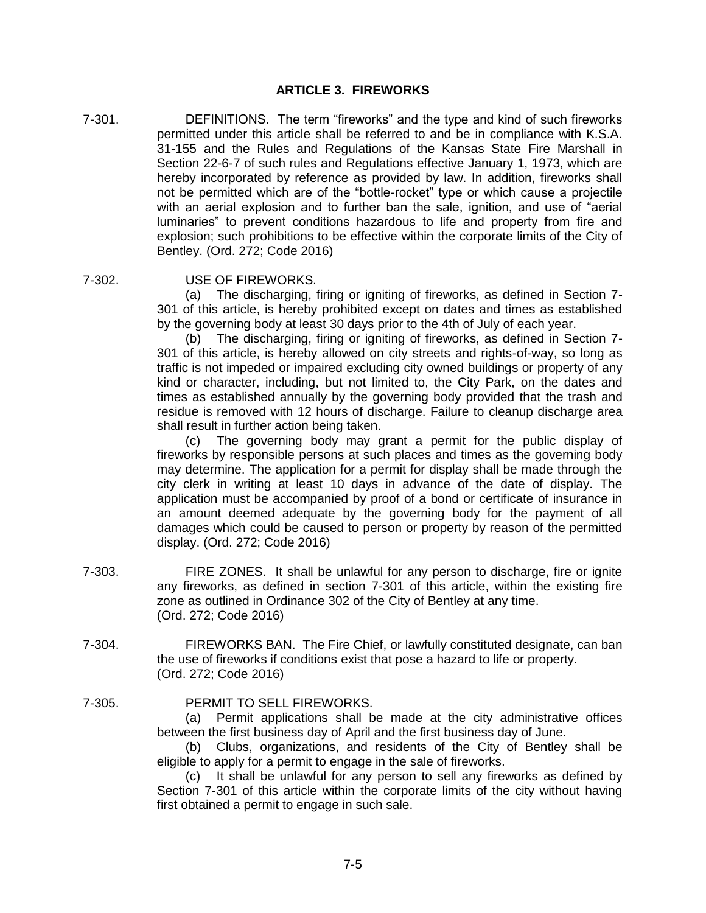## **ARTICLE 3. FIREWORKS**

- 7-301. DEFINITIONS. The term "fireworks" and the type and kind of such fireworks permitted under this article shall be referred to and be in compliance with K.S.A. 31-155 and the Rules and Regulations of the Kansas State Fire Marshall in Section 22-6-7 of such rules and Regulations effective January 1, 1973, which are hereby incorporated by reference as provided by law. In addition, fireworks shall not be permitted which are of the "bottle-rocket" type or which cause a projectile with an aerial explosion and to further ban the sale, ignition, and use of "aerial luminaries" to prevent conditions hazardous to life and property from fire and explosion; such prohibitions to be effective within the corporate limits of the City of Bentley. (Ord. 272; Code 2016)
- 

#### 7-302. USE OF FIREWORKS.

(a) The discharging, firing or igniting of fireworks, as defined in Section 7- 301 of this article, is hereby prohibited except on dates and times as established by the governing body at least 30 days prior to the 4th of July of each year.

(b) The discharging, firing or igniting of fireworks, as defined in Section 7- 301 of this article, is hereby allowed on city streets and rights-of-way, so long as traffic is not impeded or impaired excluding city owned buildings or property of any kind or character, including, but not limited to, the City Park, on the dates and times as established annually by the governing body provided that the trash and residue is removed with 12 hours of discharge. Failure to cleanup discharge area shall result in further action being taken.

(c) The governing body may grant a permit for the public display of fireworks by responsible persons at such places and times as the governing body may determine. The application for a permit for display shall be made through the city clerk in writing at least 10 days in advance of the date of display. The application must be accompanied by proof of a bond or certificate of insurance in an amount deemed adequate by the governing body for the payment of all damages which could be caused to person or property by reason of the permitted display. (Ord. 272; Code 2016)

- 7-303. FIRE ZONES. It shall be unlawful for any person to discharge, fire or ignite any fireworks, as defined in section 7-301 of this article, within the existing fire zone as outlined in Ordinance 302 of the City of Bentley at any time. (Ord. 272; Code 2016)
- 7-304. FIREWORKS BAN. The Fire Chief, or lawfully constituted designate, can ban the use of fireworks if conditions exist that pose a hazard to life or property. (Ord. 272; Code 2016)
- 7-305. PERMIT TO SELL FIREWORKS.

(a) Permit applications shall be made at the city administrative offices between the first business day of April and the first business day of June.

(b) Clubs, organizations, and residents of the City of Bentley shall be eligible to apply for a permit to engage in the sale of fireworks.

(c) It shall be unlawful for any person to sell any fireworks as defined by Section 7-301 of this article within the corporate limits of the city without having first obtained a permit to engage in such sale.